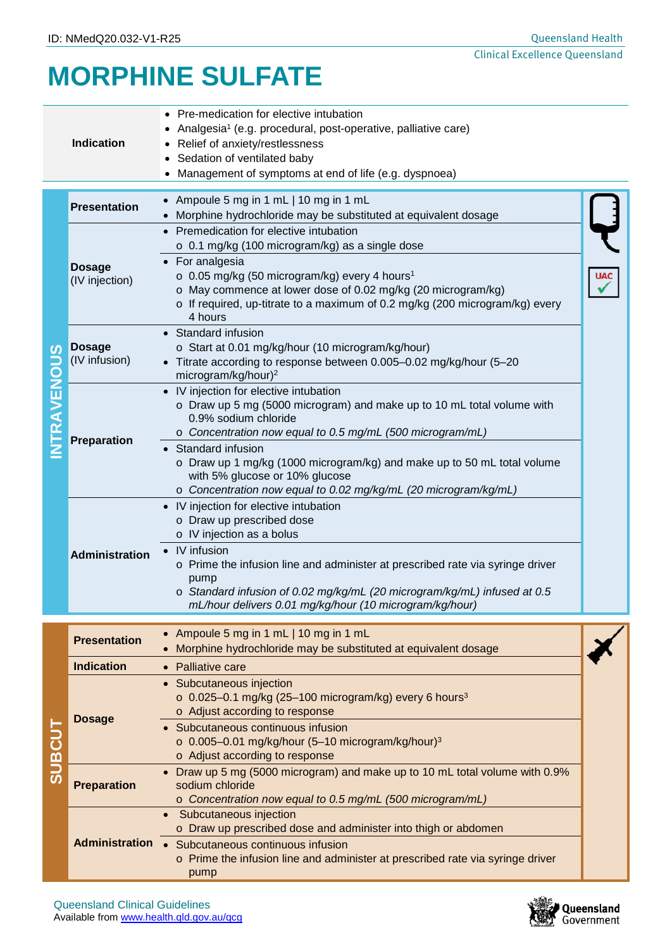# **MORPHINE SULFATE**

|                                   | <b>Indication</b>               | Pre-medication for elective intubation<br>Analgesia <sup>1</sup> (e.g. procedural, post-operative, palliative care)<br>Relief of anxiety/restlessness<br>Sedation of ventilated baby<br>Management of symptoms at end of life (e.g. dyspnoea)                                                                                                                                                                      |  |  |  |  |  |  |
|-----------------------------------|---------------------------------|--------------------------------------------------------------------------------------------------------------------------------------------------------------------------------------------------------------------------------------------------------------------------------------------------------------------------------------------------------------------------------------------------------------------|--|--|--|--|--|--|
|                                   | <b>Presentation</b>             | • Ampoule 5 mg in 1 mL   10 mg in 1 mL                                                                                                                                                                                                                                                                                                                                                                             |  |  |  |  |  |  |
| $\boldsymbol{\omega}$<br>TRAVENOU |                                 | • Morphine hydrochloride may be substituted at equivalent dosage                                                                                                                                                                                                                                                                                                                                                   |  |  |  |  |  |  |
|                                   | <b>Dosage</b><br>(IV injection) | • Premedication for elective intubation<br>o 0.1 mg/kg (100 microgram/kg) as a single dose<br>• For analgesia<br>$\circ$ 0.05 mg/kg (50 microgram/kg) every 4 hours <sup>1</sup><br>o May commence at lower dose of 0.02 mg/kg (20 microgram/kg)<br>o If required, up-titrate to a maximum of 0.2 mg/kg (200 microgram/kg) every<br>4 hours                                                                        |  |  |  |  |  |  |
|                                   | <b>Dosage</b><br>(IV infusion)  | • Standard infusion<br>o Start at 0.01 mg/kg/hour (10 microgram/kg/hour)<br>• Titrate according to response between 0.005-0.02 mg/kg/hour (5-20<br>microgram/kg/hour) <sup>2</sup>                                                                                                                                                                                                                                 |  |  |  |  |  |  |
|                                   | <b>Preparation</b>              | • IV injection for elective intubation<br>o Draw up 5 mg (5000 microgram) and make up to 10 mL total volume with<br>0.9% sodium chloride<br>$\circ$ Concentration now equal to 0.5 mg/mL (500 microgram/mL)<br>• Standard infusion<br>o Draw up 1 mg/kg (1000 microgram/kg) and make up to 50 mL total volume<br>with 5% glucose or 10% glucose<br>o Concentration now equal to 0.02 mg/kg/mL (20 microgram/kg/mL) |  |  |  |  |  |  |
|                                   | <b>Administration</b>           | • IV injection for elective intubation<br>o Draw up prescribed dose<br>o IV injection as a bolus<br>• IV infusion<br>o Prime the infusion line and administer at prescribed rate via syringe driver<br>pump<br>o Standard infusion of 0.02 mg/kg/mL (20 microgram/kg/mL) infused at 0.5<br>mL/hour delivers 0.01 mg/kg/hour (10 microgram/kg/hour)                                                                 |  |  |  |  |  |  |
|                                   |                                 |                                                                                                                                                                                                                                                                                                                                                                                                                    |  |  |  |  |  |  |
|                                   | <b>Presentation</b>             | • Ampoule 5 mg in 1 mL   10 mg in 1 mL<br>• Morphine hydrochloride may be substituted at equivalent dosage                                                                                                                                                                                                                                                                                                         |  |  |  |  |  |  |
|                                   | <b>Indication</b>               | • Palliative care                                                                                                                                                                                                                                                                                                                                                                                                  |  |  |  |  |  |  |
| <b>SUBCUT</b>                     | <b>Dosage</b>                   | • Subcutaneous injection<br>o 0.025-0.1 mg/kg (25-100 microgram/kg) every 6 hours <sup>3</sup><br>o Adjust according to response<br>Subcutaneous continuous infusion<br>$\circ$ 0.005-0.01 mg/kg/hour (5-10 microgram/kg/hour) <sup>3</sup><br>o Adjust according to response                                                                                                                                      |  |  |  |  |  |  |
|                                   | <b>Preparation</b>              | • Draw up 5 mg (5000 microgram) and make up to 10 mL total volume with 0.9%<br>sodium chloride<br>o Concentration now equal to 0.5 mg/mL (500 microgram/mL)                                                                                                                                                                                                                                                        |  |  |  |  |  |  |
|                                   | <b>Administration</b>           | • Subcutaneous injection<br>o Draw up prescribed dose and administer into thigh or abdomen<br>• Subcutaneous continuous infusion<br>$\circ$ Prime the infusion line and administer at prescribed rate via syringe driver<br>pump                                                                                                                                                                                   |  |  |  |  |  |  |



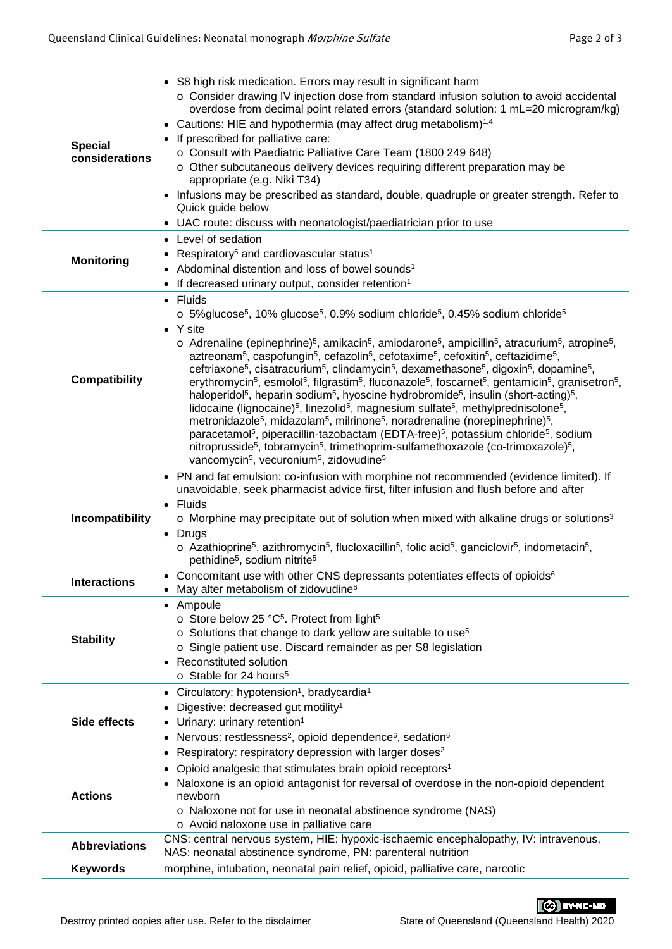| <b>Special</b><br>considerations | • S8 high risk medication. Errors may result in significant harm<br>o Consider drawing IV injection dose from standard infusion solution to avoid accidental<br>overdose from decimal point related errors (standard solution: 1 mL=20 microgram/kg)<br>Cautions: HIE and hypothermia (may affect drug metabolism) <sup>1,4</sup><br>$\bullet$<br>If prescribed for palliative care:<br>$\bullet$<br>o Consult with Paediatric Palliative Care Team (1800 249 648)<br>o Other subcutaneous delivery devices requiring different preparation may be<br>appropriate (e.g. Niki T34)<br>• Infusions may be prescribed as standard, double, quadruple or greater strength. Refer to<br>Quick guide below<br>UAC route: discuss with neonatologist/paediatrician prior to use                                                                                                                                                                                                                                                                                                                                                                                                                                                                                                                                                                                                                                                                                                                                                                                                                                     |
|----------------------------------|--------------------------------------------------------------------------------------------------------------------------------------------------------------------------------------------------------------------------------------------------------------------------------------------------------------------------------------------------------------------------------------------------------------------------------------------------------------------------------------------------------------------------------------------------------------------------------------------------------------------------------------------------------------------------------------------------------------------------------------------------------------------------------------------------------------------------------------------------------------------------------------------------------------------------------------------------------------------------------------------------------------------------------------------------------------------------------------------------------------------------------------------------------------------------------------------------------------------------------------------------------------------------------------------------------------------------------------------------------------------------------------------------------------------------------------------------------------------------------------------------------------------------------------------------------------------------------------------------------------|
| <b>Monitoring</b>                | Level of sedation<br>Respiratory <sup>5</sup> and cardiovascular status <sup>1</sup><br>Abdominal distention and loss of bowel sounds <sup>1</sup><br>If decreased urinary output, consider retention <sup>1</sup>                                                                                                                                                                                                                                                                                                                                                                                                                                                                                                                                                                                                                                                                                                                                                                                                                                                                                                                                                                                                                                                                                                                                                                                                                                                                                                                                                                                           |
| <b>Compatibility</b>             | • Fluids<br>o 5% glucose <sup>5</sup> , 10% glucose <sup>5</sup> , 0.9% sodium chloride <sup>5</sup> , 0.45% sodium chloride <sup>5</sup><br>• Y site<br>$\circ$ Adrenaline (epinephrine) <sup>5</sup> , amikacin <sup>5</sup> , amiodarone <sup>5</sup> , ampicillin <sup>5</sup> , atracurium <sup>5</sup> , atropine <sup>5</sup> ,<br>aztreonam <sup>5</sup> , caspofungin <sup>5</sup> , cefazolin <sup>5</sup> , cefotaxime <sup>5</sup> , cefoxitin <sup>5</sup> , ceftazidime <sup>5</sup> ,<br>ceftriaxone <sup>5</sup> , cisatracurium <sup>5</sup> , clindamycin <sup>5</sup> , dexamethasone <sup>5</sup> , digoxin <sup>5</sup> , dopamine <sup>5</sup> ,<br>erythromycin <sup>5</sup> , esmolol <sup>5</sup> , filgrastim <sup>5</sup> , fluconazole <sup>5</sup> , foscarnet <sup>5</sup> , gentamicin <sup>5</sup> , granisetron <sup>5</sup> ,<br>haloperidol <sup>5</sup> , heparin sodium <sup>5</sup> , hyoscine hydrobromide <sup>5</sup> , insulin (short-acting) <sup>5</sup> ,<br>lidocaine (lignocaine) <sup>5</sup> , linezolid <sup>5</sup> , magnesium sulfate <sup>5</sup> , methylprednisolone <sup>5</sup> ,<br>metronidazole <sup>5</sup> , midazolam <sup>5</sup> , milrinone <sup>5</sup> , noradrenaline (norepinephrine) <sup>5</sup> ,<br>paracetamol <sup>5</sup> , piperacillin-tazobactam (EDTA-free) <sup>5</sup> , potassium chloride <sup>5</sup> , sodium<br>nitroprusside <sup>5</sup> , tobramycin <sup>5</sup> , trimethoprim-sulfamethoxazole (co-trimoxazole) <sup>5</sup> ,<br>vancomycin <sup>5</sup> , vecuronium <sup>5</sup> , zidovudine <sup>5</sup> |
| Incompatibility                  | • PN and fat emulsion: co-infusion with morphine not recommended (evidence limited). If<br>unavoidable, seek pharmacist advice first, filter infusion and flush before and after<br>• Fluids<br>$\circ$ Morphine may precipitate out of solution when mixed with alkaline drugs or solutions <sup>3</sup><br>Drugs<br>$\circ$ Azathioprine <sup>5</sup> , azithromycin <sup>5</sup> , flucloxacillin <sup>5</sup> , folic acid <sup>5</sup> , ganciclovir <sup>5</sup> , indometacin <sup>5</sup> ,<br>pethidine <sup>5</sup> , sodium nitrite <sup>5</sup>                                                                                                                                                                                                                                                                                                                                                                                                                                                                                                                                                                                                                                                                                                                                                                                                                                                                                                                                                                                                                                                  |
| <b>Interactions</b>              | Concomitant use with other CNS depressants potentiates effects of opioids <sup>6</sup><br>May alter metabolism of zidovudine <sup>6</sup>                                                                                                                                                                                                                                                                                                                                                                                                                                                                                                                                                                                                                                                                                                                                                                                                                                                                                                                                                                                                                                                                                                                                                                                                                                                                                                                                                                                                                                                                    |
| <b>Stability</b>                 | Ampoule<br>$\bullet$<br>o Store below 25 °C <sup>5</sup> . Protect from light <sup>5</sup><br>o Solutions that change to dark yellow are suitable to use <sup>5</sup><br>o Single patient use. Discard remainder as per S8 legislation<br>Reconstituted solution<br>o Stable for 24 hours <sup>5</sup>                                                                                                                                                                                                                                                                                                                                                                                                                                                                                                                                                                                                                                                                                                                                                                                                                                                                                                                                                                                                                                                                                                                                                                                                                                                                                                       |
| Side effects                     | Circulatory: hypotension <sup>1</sup> , bradycardia <sup>1</sup><br>٠<br>Digestive: decreased gut motility <sup>1</sup><br>Urinary: urinary retention <sup>1</sup><br>Nervous: restlessness <sup>2</sup> , opioid dependence <sup>6</sup> , sedation <sup>6</sup><br>٠<br>Respiratory: respiratory depression with larger doses <sup>2</sup><br>٠                                                                                                                                                                                                                                                                                                                                                                                                                                                                                                                                                                                                                                                                                                                                                                                                                                                                                                                                                                                                                                                                                                                                                                                                                                                            |
| <b>Actions</b>                   | Opioid analgesic that stimulates brain opioid receptors <sup>1</sup><br>$\bullet$<br>Naloxone is an opioid antagonist for reversal of overdose in the non-opioid dependent<br>newborn<br>o Naloxone not for use in neonatal abstinence syndrome (NAS)<br>o Avoid naloxone use in palliative care                                                                                                                                                                                                                                                                                                                                                                                                                                                                                                                                                                                                                                                                                                                                                                                                                                                                                                                                                                                                                                                                                                                                                                                                                                                                                                             |
| <b>Abbreviations</b>             | CNS: central nervous system, HIE: hypoxic-ischaemic encephalopathy, IV: intravenous,<br>NAS: neonatal abstinence syndrome, PN: parenteral nutrition                                                                                                                                                                                                                                                                                                                                                                                                                                                                                                                                                                                                                                                                                                                                                                                                                                                                                                                                                                                                                                                                                                                                                                                                                                                                                                                                                                                                                                                          |
| <b>Keywords</b>                  | morphine, intubation, neonatal pain relief, opioid, palliative care, narcotic                                                                                                                                                                                                                                                                                                                                                                                                                                                                                                                                                                                                                                                                                                                                                                                                                                                                                                                                                                                                                                                                                                                                                                                                                                                                                                                                                                                                                                                                                                                                |